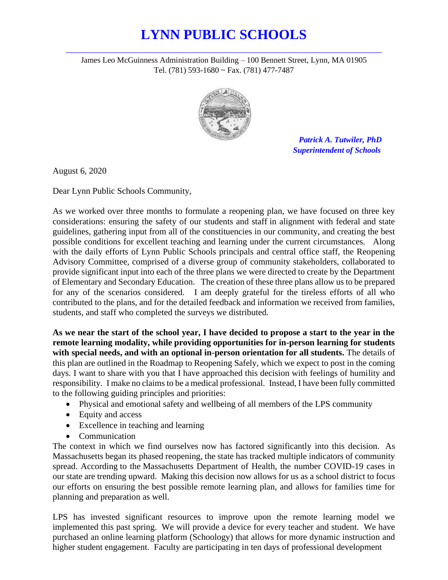## **LYNN PUBLIC SCHOOLS** *\_\_\_\_\_\_\_\_\_\_\_\_\_\_\_\_\_\_\_\_\_\_\_\_\_\_\_\_\_\_\_\_\_\_\_\_\_\_\_\_\_\_\_\_\_\_\_\_\_\_\_\_\_\_\_\_\_\_\_\_\_\_\_\_\_\_\_\_\_\_\_\_*

James Leo McGuinness Administration Building – 100 Bennett Street, Lynn, MA 01905 Tel. (781) 593-1680 ~ Fax. (781) 477-7487



 *Patrick A. Tutwiler, PhD Superintendent of Schools*

August 6, 2020

Dear Lynn Public Schools Community,

As we worked over three months to formulate a reopening plan, we have focused on three key considerations: ensuring the safety of our students and staff in alignment with federal and state guidelines, gathering input from all of the constituencies in our community, and creating the best possible conditions for excellent teaching and learning under the current circumstances. Along with the daily efforts of Lynn Public Schools principals and central office staff, the Reopening Advisory Committee, comprised of a diverse group of community stakeholders, collaborated to provide significant input into each of the three plans we were directed to create by the Department of Elementary and Secondary Education. The creation of these three plans allow us to be prepared for any of the scenarios considered. I am deeply grateful for the tireless efforts of all who contributed to the plans, and for the detailed feedback and information we received from families, students, and staff who completed the surveys we distributed.

**As we near the start of the school year, I have decided to propose a start to the year in the remote learning modality, while providing opportunities for in-person learning for students with special needs, and with an optional in-person orientation for all students.** The details of this plan are outlined in the Roadmap to Reopening Safely, which we expect to post in the coming days. I want to share with you that I have approached this decision with feelings of humility and responsibility. I make no claims to be a medical professional. Instead, I have been fully committed to the following guiding principles and priorities:

- Physical and emotional safety and wellbeing of all members of the LPS community
- Equity and access
- Excellence in teaching and learning
- Communication

The context in which we find ourselves now has factored significantly into this decision. As Massachusetts began its phased reopening, the state has tracked multiple indicators of community spread. According to the Massachusetts Department of Health, the number COVID-19 cases in our state are trending upward. Making this decision now allows for us as a school district to focus our efforts on ensuring the best possible remote learning plan, and allows for families time for planning and preparation as well.

LPS has invested significant resources to improve upon the remote learning model we implemented this past spring. We will provide a device for every teacher and student. We have purchased an online learning platform (Schoology) that allows for more dynamic instruction and higher student engagement. Faculty are participating in ten days of professional development